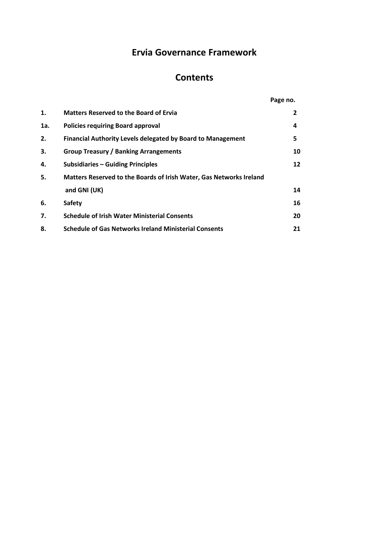# **Ervia Governance Framework**

# **Contents**

|     |                                                                     | Page no. |
|-----|---------------------------------------------------------------------|----------|
| 1.  | <b>Matters Reserved to the Board of Ervia</b>                       | 2        |
| 1a. | <b>Policies requiring Board approval</b>                            | 4        |
| 2.  | <b>Financial Authority Levels delegated by Board to Management</b>  | 5        |
| 3.  | <b>Group Treasury / Banking Arrangements</b>                        | 10       |
| 4.  | <b>Subsidiaries - Guiding Principles</b>                            | 12       |
| 5.  | Matters Reserved to the Boards of Irish Water, Gas Networks Ireland |          |
|     | and GNI (UK)                                                        | 14       |
| 6.  | <b>Safety</b>                                                       | 16       |
| 7.  | <b>Schedule of Irish Water Ministerial Consents</b>                 | 20       |
| 8.  | <b>Schedule of Gas Networks Ireland Ministerial Consents</b>        | 21       |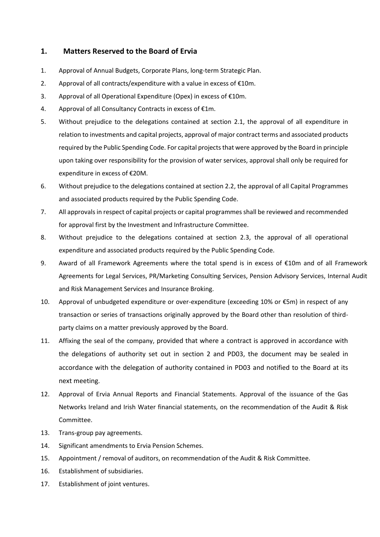# **1. Matters Reserved to the Board of Ervia**

- 1. Approval of Annual Budgets, Corporate Plans, long-term Strategic Plan.
- 2. Approval of all contracts/expenditure with a value in excess of  $E10m$ .
- 3. Approval of all Operational Expenditure (Opex) in excess of €10m.
- 4. Approval of all Consultancy Contracts in excess of €1m.
- 5. Without prejudice to the delegations contained at section 2.1, the approval of all expenditure in relation to investments and capital projects, approval of major contract terms and associated products required by the Public Spending Code. For capital projects that were approved by the Board in principle upon taking over responsibility for the provision of water services, approval shall only be required for expenditure in excess of €20M.
- 6. Without prejudice to the delegations contained at section 2.2, the approval of all Capital Programmes and associated products required by the Public Spending Code.
- 7. All approvals in respect of capital projects or capital programmes shall be reviewed and recommended for approval first by the Investment and Infrastructure Committee.
- 8. Without prejudice to the delegations contained at section 2.3, the approval of all operational expenditure and associated products required by the Public Spending Code.
- 9. Award of all Framework Agreements where the total spend is in excess of €10m and of all Framework Agreements for Legal Services, PR/Marketing Consulting Services, Pension Advisory Services, Internal Audit and Risk Management Services and Insurance Broking.
- 10. Approval of unbudgeted expenditure or over-expenditure (exceeding 10% or €5m) in respect of any transaction or series of transactions originally approved by the Board other than resolution of thirdparty claims on a matter previously approved by the Board.
- 11. Affixing the seal of the company, provided that where a contract is approved in accordance with the delegations of authority set out in section 2 and PD03, the document may be sealed in accordance with the delegation of authority contained in PD03 and notified to the Board at its next meeting.
- 12. Approval of Ervia Annual Reports and Financial Statements. Approval of the issuance of the Gas Networks Ireland and Irish Water financial statements, on the recommendation of the Audit & Risk Committee.
- 13. Trans-group pay agreements.
- 14. Significant amendments to Ervia Pension Schemes.
- 15. Appointment / removal of auditors, on recommendation of the Audit & Risk Committee.
- 16. Establishment of subsidiaries.
- 17. Establishment of joint ventures.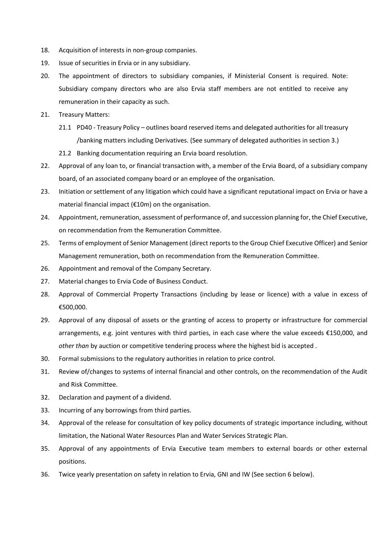- 18. Acquisition of interests in non-group companies.
- 19. Issue of securities in Ervia or in any subsidiary.
- 20. The appointment of directors to subsidiary companies, if Ministerial Consent is required. Note: Subsidiary company directors who are also Ervia staff members are not entitled to receive any remuneration in their capacity as such.
- 21. Treasury Matters:
	- 21.1 PD40 Treasury Policy outlines board reserved items and delegated authorities for all treasury /banking matters including Derivatives. (See summary of delegated authorities in section 3.)
	- 21.2 Banking documentation requiring an Ervia board resolution.
- 22. Approval of any loan to, or financial transaction with, a member of the Ervia Board, of a subsidiary company board, of an associated company board or an employee of the organisation.
- 23. Initiation or settlement of any litigation which could have a significant reputational impact on Ervia or have a material financial impact (€10m) on the organisation.
- 24. Appointment, remuneration, assessment of performance of, and succession planning for, the Chief Executive, on recommendation from the Remuneration Committee.
- 25. Terms of employment of Senior Management (direct reports to the Group Chief Executive Officer) and Senior Management remuneration, both on recommendation from the Remuneration Committee.
- 26. Appointment and removal of the Company Secretary.
- 27. Material changes to Ervia Code of Business Conduct.
- 28. Approval of Commercial Property Transactions (including by lease or licence) with a value in excess of €500,000.
- 29. Approval of any disposal of assets or the granting of access to property or infrastructure for commercial arrangements, e.g. joint ventures with third parties, in each case where the value exceeds €150,000, and *other than* by auction or competitive tendering process where the highest bid is accepted .
- 30. Formal submissions to the regulatory authorities in relation to price control.
- 31. Review of/changes to systems of internal financial and other controls, on the recommendation of the Audit and Risk Committee.
- 32. Declaration and payment of a dividend.
- 33. Incurring of any borrowings from third parties.
- 34. Approval of the release for consultation of key policy documents of strategic importance including, without limitation, the National Water Resources Plan and Water Services Strategic Plan.
- 35. Approval of any appointments of Ervia Executive team members to external boards or other external positions.
- 36. Twice yearly presentation on safety in relation to Ervia, GNI and IW (See section 6 below).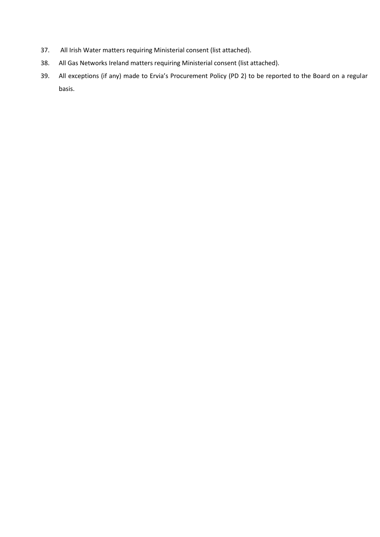- 37. All Irish Water matters requiring Ministerial consent (list attached).
- 38. All Gas Networks Ireland matters requiring Ministerial consent (list attached).
- 39. All exceptions (if any) made to Ervia's Procurement Policy (PD 2) to be reported to the Board on a regular basis.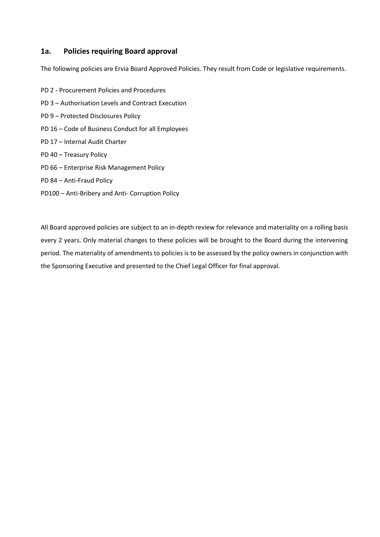# **1a. Policies requiring Board approval**

The following policies are Ervia Board Approved Policies. They result from Code or legislative requirements.

- PD 2 Procurement Policies and Procedures PD 3 – Authorisation Levels and Contract Execution PD 9 – Protected Disclosures Policy PD 16 – Code of Business Conduct for all Employees PD 17 – Internal Audit Charter PD 40 – Treasury Policy PD 66 – Enterprise Risk Management Policy
- PD 84 Anti-Fraud Policy
- PD100 Anti-Bribery and Anti- Corruption Policy

All Board approved policies are subject to an in-depth review for relevance and materiality on a rolling basis every 2 years. Only material changes to these policies will be brought to the Board during the intervening period. The materiality of amendments to policies is to be assessed by the policy owners in conjunction with the Sponsoring Executive and presented to the Chief Legal Officer for final approval.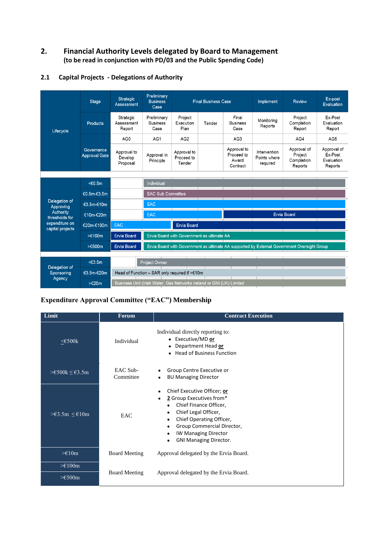# **2. Financial Authority Levels delegated by Board to Management (to be read in conjunction with PD/03 and the Public Spending Code)**

| Lifecycle                          | <b>Stage</b>                       | Strategic<br>Assessment            | Preliminary<br><b>Business</b><br>Case                                                      |                                     | <b>Final Business Case</b> |                                                | Implement                                | Review                                          | Ex-post<br>Evaluation                           |
|------------------------------------|------------------------------------|------------------------------------|---------------------------------------------------------------------------------------------|-------------------------------------|----------------------------|------------------------------------------------|------------------------------------------|-------------------------------------------------|-------------------------------------------------|
|                                    | Products                           | Strategic<br>Assessment<br>Report  | Preliminary<br><b>Business</b><br>Case                                                      | Project<br>Execution<br>Plan        | Tender                     | Final<br><b>Business</b><br>Case               | Monitoring<br>Reports                    | Project<br>Completion<br>Report                 | Ex-Post<br>Evaluation<br>Report                 |
|                                    |                                    | AG0                                | AG1                                                                                         | AG2                                 |                            | AG <sub>3</sub>                                |                                          | AG4                                             | AG5                                             |
|                                    | Governance<br><b>Approval Gate</b> | Approval to<br>Develop<br>Proposal | Approval in<br>Principle                                                                    | Approval to<br>Proceed to<br>Tender |                            | Approval to<br>Proceed to<br>Award<br>Contract | Intervention<br>Points where<br>required | Approval of<br>Project<br>Completion<br>Reports | Approval of<br>Ex-Post<br>Evaluation<br>Reports |
|                                    |                                    |                                    |                                                                                             |                                     |                            |                                                |                                          |                                                 |                                                 |
|                                    | < 0.5m                             |                                    | Individual                                                                                  |                                     |                            |                                                |                                          |                                                 |                                                 |
|                                    | €0.5m-€3.5m                        |                                    | <b>EAC Sub Committee</b>                                                                    |                                     |                            |                                                |                                          |                                                 |                                                 |
| Delegation of<br>Approving         | €3.5m-€10m                         |                                    | <b>EAC</b>                                                                                  |                                     |                            |                                                |                                          |                                                 |                                                 |
| Authority<br>thresholds for        | €10m-€20m                          |                                    | <b>EAC</b>                                                                                  |                                     |                            |                                                |                                          | <b>Ervia Board</b>                              |                                                 |
| expenditure on<br>capital projects | €20m-€100m                         | <b>EAC</b>                         | <b>Ervia Board</b>                                                                          |                                     |                            |                                                |                                          |                                                 |                                                 |
|                                    | >€100m                             | <b>Ervia Board</b>                 | Ervia Board with Government as ultimate AA                                                  |                                     |                            |                                                |                                          |                                                 |                                                 |
|                                    | $> \in 500m$                       | <b>Ervia Board</b>                 | Ervia Board with Government as ultimate AA supported by External Government Oversight Group |                                     |                            |                                                |                                          |                                                 |                                                 |
|                                    |                                    |                                    |                                                                                             |                                     |                            |                                                |                                          |                                                 |                                                 |
| Delegation of                      | $<\epsilon$ 3.5m                   |                                    | Project Owner                                                                               |                                     |                            |                                                |                                          |                                                 |                                                 |
| Sponsoring                         | €3.5m-€20m                         |                                    | Head of Function - SAR only required if >€10m                                               |                                     |                            |                                                |                                          |                                                 |                                                 |
| Agency                             | $\geq 20m$                         |                                    | Business Unit (Irish Water, Gas Networks Ireland or GNI (UK) Limited                        |                                     |                            |                                                |                                          |                                                 |                                                 |

#### **2.1 Capital Projects - Delegations of Authority**

# **Expenditure Approval Committee ("EAC") Membership**

| Limit                                                         | <b>Forum</b>          | <b>Contract Execution</b>                                                                                                                                                                                                                                    |
|---------------------------------------------------------------|-----------------------|--------------------------------------------------------------------------------------------------------------------------------------------------------------------------------------------------------------------------------------------------------------|
| ≤€500 $k$                                                     | Individual            | Individual directly reporting to:<br>• Executive/MD or<br>Department Head or<br><b>Head of Business Function</b>                                                                                                                                             |
| $\geq \text{\textsterling}500k \leq \text{\textsterling}3.5m$ | EAC Sub-<br>Committee | Group Centre Executive or<br><b>BU Managing Director</b><br>٠                                                                                                                                                                                                |
| ≥£3.5m ≤£10m                                                  | EAC                   | Chief Executive Officer; or<br>2 Group Executives from*<br>Chief Finance Officer,<br>٠<br>Chief Legal Officer,<br>٠<br>Chief Operating Officer,<br>٠<br>Group Commercial Director,<br><b>IW Managing Director</b><br>٠<br><b>GNI Managing Director.</b><br>٠ |
| $\geq \in 10m$                                                | <b>Board Meeting</b>  | Approval delegated by the Ervia Board.                                                                                                                                                                                                                       |
| $\geq \epsilon 100m$                                          |                       |                                                                                                                                                                                                                                                              |
| $\geq \epsilon$ 500m                                          | <b>Board Meeting</b>  | Approval delegated by the Ervia Board.                                                                                                                                                                                                                       |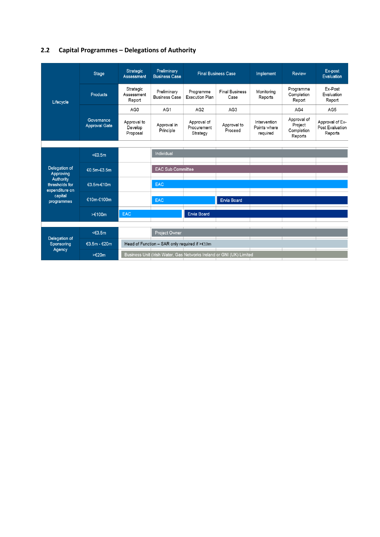# **2.2 Capital Programmes – Delegations of Authority**

| Lifecycle                                     | Stage                       | <b>Strategic</b><br>Assessment     | Preliminary<br><b>Business Case</b>           |                                        | <b>Final Business Case</b>                                           | Implement                                | Review                                          | Ex-post<br>Evaluation                         |
|-----------------------------------------------|-----------------------------|------------------------------------|-----------------------------------------------|----------------------------------------|----------------------------------------------------------------------|------------------------------------------|-------------------------------------------------|-----------------------------------------------|
|                                               | <b>Products</b>             | Strategic<br>Assessment<br>Report  | Preliminary<br><b>Business Case</b>           | Programme<br><b>Execution Plan</b>     | <b>Final Business</b><br>Case                                        | Monitorina<br>Reports                    | Programme<br>Completion<br>Report               | Ex-Post<br>Evaluation<br>Report               |
|                                               |                             | AG0                                | AG1                                           | AG <sub>2</sub>                        | AG <sub>3</sub>                                                      |                                          | AG4                                             | AG5                                           |
|                                               | Governance<br>Approval Gate | Approval to<br>Develop<br>Proposal | Approval in<br>Principle                      | Approval of<br>Procurement<br>Strategy | Approval to<br>Proceed                                               | Intervention<br>Points where<br>required | Approval of<br>Project<br>Completion<br>Reports | Approval of Ex-<br>Post Evaluation<br>Reports |
|                                               |                             |                                    |                                               |                                        |                                                                      |                                          |                                                 |                                               |
|                                               | $\leq 0.5m$                 |                                    | Individual                                    |                                        |                                                                      |                                          |                                                 |                                               |
| Delegation of<br>Approving                    | €0.5m-€3.5m                 |                                    | <b>EAC Sub Committee</b>                      |                                        |                                                                      |                                          |                                                 |                                               |
| Authority<br>thresholds for<br>expenditure on | €3.5m-€10m                  |                                    | <b>EAC</b>                                    |                                        |                                                                      |                                          |                                                 |                                               |
| capital<br>programmes                         | €10m-€100m                  |                                    | <b>EAC</b>                                    |                                        | <b>Ervia Board</b>                                                   |                                          |                                                 |                                               |
|                                               | $\geq 100m$                 | <b>EAC</b>                         |                                               | <b>Ervia Board</b>                     |                                                                      |                                          |                                                 |                                               |
|                                               |                             |                                    |                                               |                                        |                                                                      |                                          |                                                 |                                               |
|                                               | <€3.5m                      |                                    | Project Owner                                 |                                        |                                                                      |                                          |                                                 |                                               |
| Delegation of<br>Sponsoring                   | €3.5m - €20m                |                                    | Head of Function - SAR only required if >€10m |                                        |                                                                      |                                          |                                                 |                                               |
| Agency                                        | $\geq$ $\in$ 20m            |                                    |                                               |                                        | Business Unit (Irish Water, Gas Networks Ireland or GNI (UK) Limited |                                          |                                                 |                                               |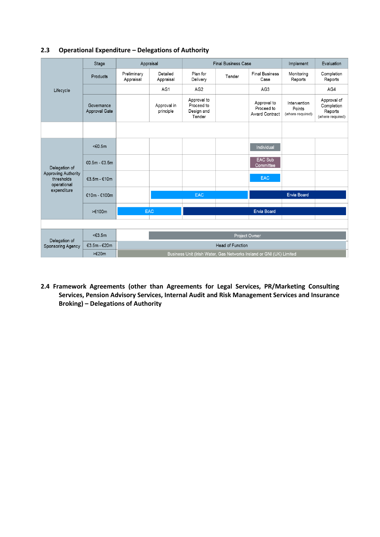|                                                  | Stage                       |                                                                      | Appraisal                |                                                   | <b>Final Business Case</b> |                                             | Implement                                  | Evaluation                                               |  |  |
|--------------------------------------------------|-----------------------------|----------------------------------------------------------------------|--------------------------|---------------------------------------------------|----------------------------|---------------------------------------------|--------------------------------------------|----------------------------------------------------------|--|--|
|                                                  | Products                    | Preliminary<br>Appraisal                                             | Detailed<br>Appraisal    | Plan for<br>Delivery                              | Tender                     | <b>Final Business</b><br>Case               | Monitoring<br>Reports                      | Completion<br>Reports                                    |  |  |
| Lifecycle                                        |                             |                                                                      | AG1                      | AG <sub>2</sub>                                   |                            | AG <sub>3</sub>                             |                                            | AG4                                                      |  |  |
|                                                  | Governance<br>Approval Gate |                                                                      | Approval in<br>principle | Approval to<br>Proceed to<br>Design and<br>Tender |                            | Approval to<br>Proceed to<br>Award Contract | Intervention<br>Points<br>(where required) | Approval of<br>Completion<br>Reports<br>(where required) |  |  |
|                                                  |                             |                                                                      |                          |                                                   |                            |                                             |                                            |                                                          |  |  |
|                                                  | $<\epsilon$ 0.5m            |                                                                      |                          |                                                   |                            | Individual                                  |                                            |                                                          |  |  |
| Delegation of                                    | €0.5m - €3.5m               |                                                                      |                          |                                                   |                            | EAC Sub<br>Committee                        |                                            |                                                          |  |  |
| Approving Authority<br>thresholds<br>operational | €3.5m - €10m                |                                                                      |                          |                                                   |                            | <b>EAC</b>                                  |                                            |                                                          |  |  |
| expenditure                                      | $€10m - €100m$              |                                                                      |                          | <b>EAC</b>                                        |                            |                                             | <b>Ervia Board</b>                         |                                                          |  |  |
|                                                  | $\geq 100m$                 |                                                                      | <b>EAC</b>               |                                                   |                            | <b>Ervia Board</b>                          |                                            |                                                          |  |  |
|                                                  |                             |                                                                      |                          |                                                   |                            |                                             |                                            |                                                          |  |  |
| Delegation of                                    | $<\epsilon$ 3.5m            |                                                                      |                          |                                                   |                            | Project Owner                               |                                            |                                                          |  |  |
| Sponsoring Agency                                | €3.5m - €20m                |                                                                      |                          |                                                   | <b>Head of Function</b>    |                                             |                                            |                                                          |  |  |
|                                                  | >€20m                       | Business Unit (Irish Water, Gas Networks Ireland or GNI (UK) Limited |                          |                                                   |                            |                                             |                                            |                                                          |  |  |

# **2.3 Operational Expenditure – Delegations of Authority**

**2.4 Framework Agreements (other than Agreements for Legal Services, PR/Marketing Consulting Services, Pension Advisory Services, Internal Audit and Risk Management Services and Insurance Broking) – Delegations of Authority**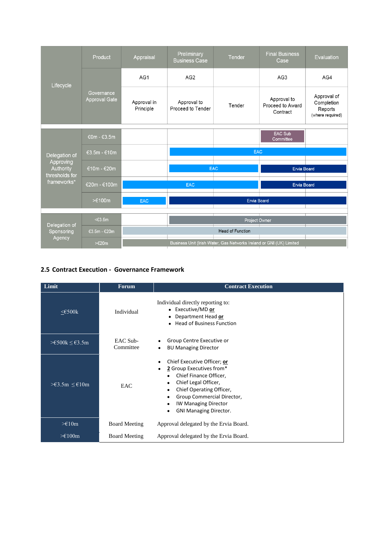| Lifecycle                                | Product                            | Appraisal                | Preliminary<br><b>Business Case</b> | Tender                                                               | <b>Final Business</b><br>Case               | Evaluation                                               |  |  |
|------------------------------------------|------------------------------------|--------------------------|-------------------------------------|----------------------------------------------------------------------|---------------------------------------------|----------------------------------------------------------|--|--|
|                                          | Governance<br><b>Approval Gate</b> | AG1                      | AG <sub>2</sub>                     |                                                                      | AG <sub>3</sub>                             | AG4                                                      |  |  |
|                                          |                                    | Approval in<br>Principle | Approval to<br>Proceed to Tender    | Tender                                                               | Approval to<br>Proceed to Award<br>Contract | Approval of<br>Completion<br>Reports<br>(where required) |  |  |
|                                          |                                    |                          |                                     |                                                                      | EAC Sub                                     |                                                          |  |  |
|                                          | €0m - €3.5m                        |                          |                                     |                                                                      | Committee                                   |                                                          |  |  |
|                                          | €3.5m - €10m                       |                          | <b>EAC</b>                          |                                                                      |                                             |                                                          |  |  |
| Delegation of                            |                                    |                          |                                     |                                                                      |                                             |                                                          |  |  |
| Approving<br>Authority<br>thresholds for | €10m - €20m                        |                          |                                     | <b>EAC</b>                                                           | <b>Ervia Board</b>                          |                                                          |  |  |
| frameworks*                              | €20m - €100m                       |                          | <b>EAC</b>                          |                                                                      | <b>Ervia Board</b>                          |                                                          |  |  |
|                                          | $\geq \in 100m$                    | <b>EAC</b>               | <b>Ervia Board</b>                  |                                                                      |                                             |                                                          |  |  |
|                                          |                                    |                          |                                     |                                                                      |                                             |                                                          |  |  |
|                                          | $<\epsilon$ 3.5m                   |                          |                                     | Project Owner                                                        |                                             |                                                          |  |  |
| Delegation of<br>Sponsoring              | €3.5m - €20m                       |                          |                                     | Head of Function                                                     |                                             |                                                          |  |  |
| Agency                                   | $\geq 20m$                         |                          |                                     | Business Unit (Irish Water, Gas Networks Ireland or GNI (UK) Limited |                                             |                                                          |  |  |

# **2.5 Contract Execution - Governance Framework**

| Limit                                                         | <b>Forum</b>          | <b>Contract Execution</b>                                                                                                                                                                                                                                  |
|---------------------------------------------------------------|-----------------------|------------------------------------------------------------------------------------------------------------------------------------------------------------------------------------------------------------------------------------------------------------|
| $\leq$ 500 $k$                                                | Individual            | Individual directly reporting to:<br>• Executive/MD or<br>Department Head or<br>٠<br>• Head of Business Function                                                                                                                                           |
| $\geq \text{\textsterling}500k \leq \text{\textsterling}3.5m$ | EAC Sub-<br>Committee | Group Centre Executive or<br><b>BU Managing Director</b>                                                                                                                                                                                                   |
| $\geq \text{\textsterling}3.5m \leq \text{\textsterling}10m$  | EAC                   | Chief Executive Officer; or<br>2 Group Executives from*<br>Chief Finance Officer,<br>$\bullet$<br>Chief Legal Officer,<br>٠<br>Chief Operating Officer,<br>Group Commercial Director,<br><b>IW Managing Director</b><br>٠<br><b>GNI Managing Director.</b> |
| $\geq \in 10m$                                                | <b>Board Meeting</b>  | Approval delegated by the Ervia Board.                                                                                                                                                                                                                     |
| $\geq \epsilon$ 100m                                          | <b>Board Meeting</b>  | Approval delegated by the Ervia Board.                                                                                                                                                                                                                     |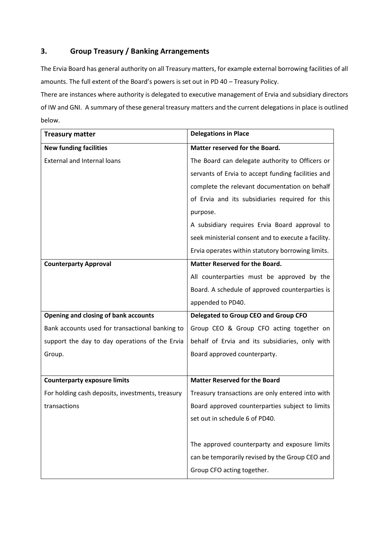# **3. Group Treasury / Banking Arrangements**

The Ervia Board has general authority on all Treasury matters, for example external borrowing facilities of all amounts. The full extent of the Board's powers is set out in PD 40 – Treasury Policy.

There are instances where authority is delegated to executive management of Ervia and subsidiary directors of IW and GNI. A summary of these general treasury matters and the current delegations in place is outlined below.

| <b>Treasury matter</b>                           | <b>Delegations in Place</b>                         |
|--------------------------------------------------|-----------------------------------------------------|
| <b>New funding facilities</b>                    | Matter reserved for the Board.                      |
| <b>External and Internal loans</b>               | The Board can delegate authority to Officers or     |
|                                                  | servants of Ervia to accept funding facilities and  |
|                                                  | complete the relevant documentation on behalf       |
|                                                  | of Ervia and its subsidiaries required for this     |
|                                                  | purpose.                                            |
|                                                  | A subsidiary requires Ervia Board approval to       |
|                                                  | seek ministerial consent and to execute a facility. |
|                                                  | Ervia operates within statutory borrowing limits.   |
| <b>Counterparty Approval</b>                     | <b>Matter Reserved for the Board.</b>               |
|                                                  | All counterparties must be approved by the          |
|                                                  | Board. A schedule of approved counterparties is     |
|                                                  | appended to PD40.                                   |
| Opening and closing of bank accounts             | Delegated to Group CEO and Group CFO                |
| Bank accounts used for transactional banking to  | Group CEO & Group CFO acting together on            |
| support the day to day operations of the Ervia   | behalf of Ervia and its subsidiaries, only with     |
| Group.                                           | Board approved counterparty.                        |
|                                                  |                                                     |
| <b>Counterparty exposure limits</b>              | <b>Matter Reserved for the Board</b>                |
| For holding cash deposits, investments, treasury | Treasury transactions are only entered into with    |
| transactions                                     | Board approved counterparties subject to limits     |
|                                                  | set out in schedule 6 of PD40.                      |
|                                                  |                                                     |
|                                                  | The approved counterparty and exposure limits       |
|                                                  | can be temporarily revised by the Group CEO and     |
|                                                  | Group CFO acting together.                          |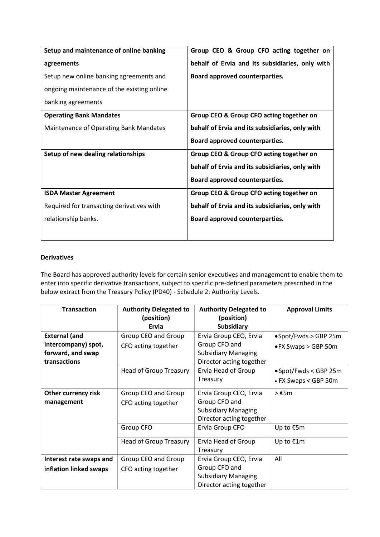| Setup and maintenance of online banking    | Group CEO & Group CFO acting together on        |
|--------------------------------------------|-------------------------------------------------|
| agreements                                 | behalf of Ervia and its subsidiaries, only with |
| Setup new online banking agreements and    | Board approved counterparties.                  |
| ongoing maintenance of the existing online |                                                 |
| banking agreements                         |                                                 |
| <b>Operating Bank Mandates</b>             | Group CEO & Group CFO acting together on        |
| Maintenance of Operating Bank Mandates     | behalf of Ervia and its subsidiaries, only with |
|                                            | Board approved counterparties.                  |
| Setup of new dealing relationships         | Group CEO & Group CFO acting together on        |
|                                            | behalf of Ervia and its subsidiaries, only with |
|                                            | Board approved counterparties.                  |
| <b>ISDA Master Agreement</b>               | Group CEO & Group CFO acting together on        |
| Required for transacting derivatives with  | behalf of Ervia and its subsidiaries, only with |
| relationship banks.                        | Board approved counterparties.                  |
|                                            |                                                 |

### **Derivatives**

The Board has approved authority levels for certain senior executives and management to enable them to enter into specific derivative transactions, subject to specific pre-defined parameters prescribed in the below extract from the Treasury Policy (PD40) - Schedule 2: Authority Levels.

| <b>Transaction</b>                                                               | <b>Authority Delegated to</b><br>(position)<br>Ervia | <b>Authority Delegated to</b><br>(position)<br><b>Subsidiary</b>                                  | <b>Approval Limits</b>                                |
|----------------------------------------------------------------------------------|------------------------------------------------------|---------------------------------------------------------------------------------------------------|-------------------------------------------------------|
| <b>External (and</b><br>intercompany) spot,<br>forward, and swap<br>transactions | Group CEO and Group<br>CFO acting together           | Ervia Group CEO, Ervia<br>Group CFO and<br><b>Subsidiary Managing</b><br>Director acting together | $\bullet$ Spot/Fwds > GBP 25m<br>• FX Swaps > GBP 50m |
|                                                                                  | <b>Head of Group Treasury</b>                        | Ervia Head of Group<br>Treasury                                                                   | • Spot/Fwds < GBP 25m<br>• FX Swaps < GBP 50m         |
| <b>Other currency risk</b><br>management                                         | Group CEO and Group<br>CFO acting together           | Ervia Group CEO, Ervia<br>Group CFO and<br><b>Subsidiary Managing</b><br>Director acting together | $> \text{\ensuremath{\epsilon}}$ 5m                   |
|                                                                                  | Group CFO                                            | Ervia Group CFO                                                                                   | Up to €5m                                             |
|                                                                                  | <b>Head of Group Treasury</b>                        | Ervia Head of Group<br>Treasury                                                                   | Up to €1m                                             |
| Interest rate swaps and<br>inflation linked swaps                                | Group CEO and Group<br>CFO acting together           | Ervia Group CEO, Ervia<br>Group CFO and<br><b>Subsidiary Managing</b><br>Director acting together | All                                                   |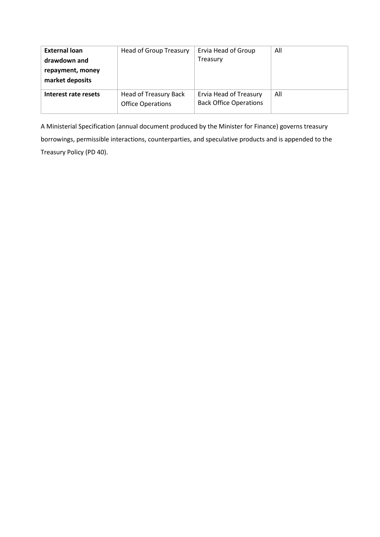| <b>External loan</b><br>drawdown and<br>repayment, money<br>market deposits | Head of Group Treasury                            | Ervia Head of Group<br>Treasury                         | All |
|-----------------------------------------------------------------------------|---------------------------------------------------|---------------------------------------------------------|-----|
| Interest rate resets                                                        | Head of Treasury Back<br><b>Office Operations</b> | Ervia Head of Treasury<br><b>Back Office Operations</b> | All |

A Ministerial Specification (annual document produced by the Minister for Finance) governs treasury borrowings, permissible interactions, counterparties, and speculative products and is appended to the Treasury Policy (PD 40).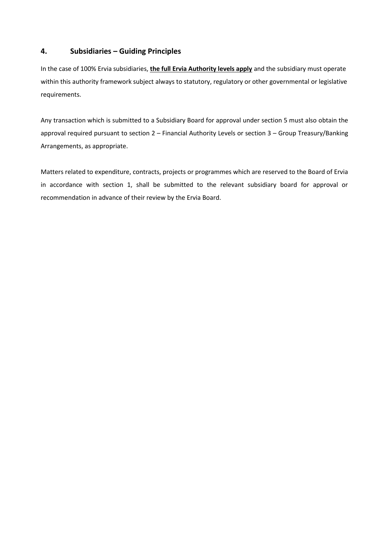## **4. Subsidiaries – Guiding Principles**

In the case of 100% Ervia subsidiaries, **the full Ervia Authority levels apply** and the subsidiary must operate within this authority framework subject always to statutory, regulatory or other governmental or legislative requirements.

Any transaction which is submitted to a Subsidiary Board for approval under section 5 must also obtain the approval required pursuant to section 2 – Financial Authority Levels or section 3 – Group Treasury/Banking Arrangements, as appropriate.

Matters related to expenditure, contracts, projects or programmes which are reserved to the Board of Ervia in accordance with section 1, shall be submitted to the relevant subsidiary board for approval or recommendation in advance of their review by the Ervia Board.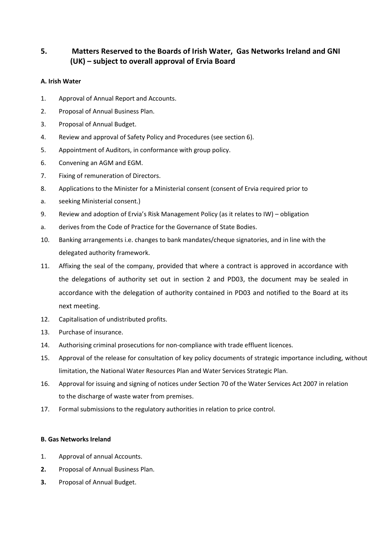# **5. Matters Reserved to the Boards of Irish Water, Gas Networks Ireland and GNI (UK) – subject to overall approval of Ervia Board**

#### **A. Irish Water**

- 1. Approval of Annual Report and Accounts.
- 2. Proposal of Annual Business Plan.
- 3. Proposal of Annual Budget.
- 4. Review and approval of Safety Policy and Procedures (see section 6).
- 5. Appointment of Auditors, in conformance with group policy.
- 6. Convening an AGM and EGM.
- 7. Fixing of remuneration of Directors.
- 8. Applications to the Minister for a Ministerial consent (consent of Ervia required prior to
- a. seeking Ministerial consent.)
- 9. Review and adoption of Ervia's Risk Management Policy (as it relates to IW) obligation
- a. derives from the Code of Practice for the Governance of State Bodies.
- 10. Banking arrangements i.e. changes to bank mandates/cheque signatories, and in line with the delegated authority framework.
- 11. Affixing the seal of the company, provided that where a contract is approved in accordance with the delegations of authority set out in section 2 and PD03, the document may be sealed in accordance with the delegation of authority contained in PD03 and notified to the Board at its next meeting.
- 12. Capitalisation of undistributed profits.
- 13. Purchase of insurance.
- 14. Authorising criminal prosecutions for non-compliance with trade effluent licences.
- 15. Approval of the release for consultation of key policy documents of strategic importance including, without limitation, the National Water Resources Plan and Water Services Strategic Plan.
- 16. Approval for issuing and signing of notices under Section 70 of the Water Services Act 2007 in relation to the discharge of waste water from premises.
- 17. Formal submissions to the regulatory authorities in relation to price control.

### **B. Gas Networks Ireland**

- 1. Approval of annual Accounts.
- **2.** Proposal of Annual Business Plan.
- **3.** Proposal of Annual Budget.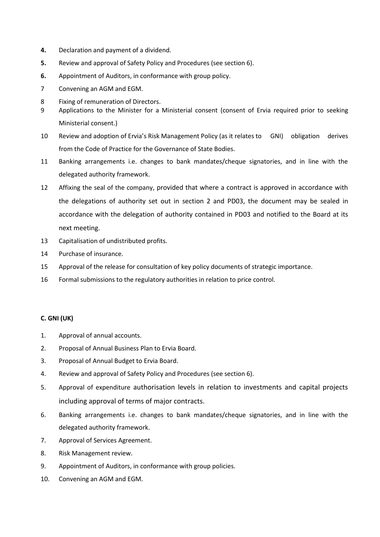- **4.** Declaration and payment of a dividend.
- **5.** Review and approval of Safety Policy and Procedures (see section 6).
- **6.** Appointment of Auditors, in conformance with group policy.
- 7 Convening an AGM and EGM.
- 8 Fixing of remuneration of Directors.
- 9 Applications to the Minister for a Ministerial consent (consent of Ervia required prior to seeking Ministerial consent.)
- 10 Review and adoption of Ervia's Risk Management Policy (as it relates to GNI) obligation derives from the Code of Practice for the Governance of State Bodies.
- 11 Banking arrangements i.e. changes to bank mandates/cheque signatories, and in line with the delegated authority framework.
- 12 Affixing the seal of the company, provided that where a contract is approved in accordance with the delegations of authority set out in section 2 and PD03, the document may be sealed in accordance with the delegation of authority contained in PD03 and notified to the Board at its next meeting.
- 13 Capitalisation of undistributed profits.
- 14 Purchase of insurance.
- 15 Approval of the release for consultation of key policy documents of strategic importance.
- 16 Formal submissions to the regulatory authorities in relation to price control.

#### **C. GNI (UK)**

- 1. Approval of annual accounts.
- 2. Proposal of Annual Business Plan to Ervia Board.
- 3. Proposal of Annual Budget to Ervia Board.
- 4. Review and approval of Safety Policy and Procedures (see section 6).
- 5. Approval of expenditure authorisation levels in relation to investments and capital projects including approval of terms of major contracts.
- 6. Banking arrangements i.e. changes to bank mandates/cheque signatories, and in line with the delegated authority framework.
- 7. Approval of Services Agreement.
- 8. Risk Management review.
- 9. Appointment of Auditors, in conformance with group policies.
- 10. Convening an AGM and EGM.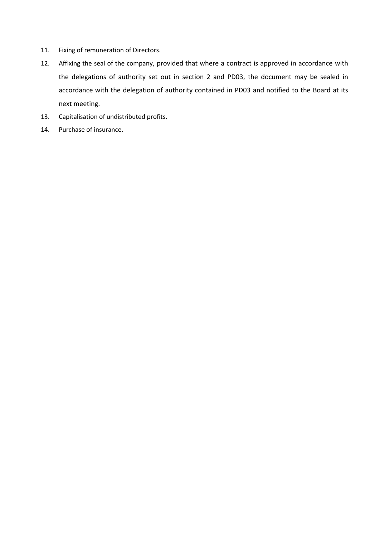- 11. Fixing of remuneration of Directors.
- 12. Affixing the seal of the company, provided that where a contract is approved in accordance with the delegations of authority set out in section 2 and PD03, the document may be sealed in accordance with the delegation of authority contained in PD03 and notified to the Board at its next meeting.
- 13. Capitalisation of undistributed profits.
- 14. Purchase of insurance.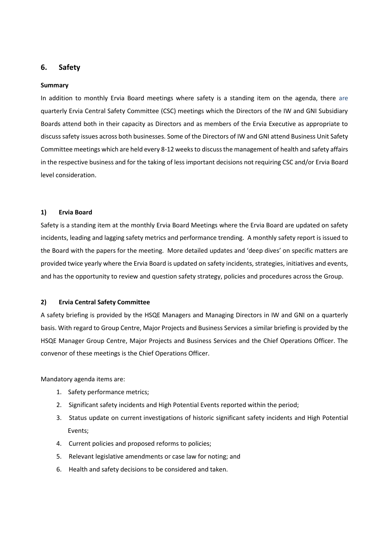# **6. Safety**

#### **Summary**

In addition to monthly Ervia Board meetings where safety is a standing item on the agenda, there are quarterly Ervia Central Safety Committee (CSC) meetings which the Directors of the IW and GNI Subsidiary Boards attend both in their capacity as Directors and as members of the Ervia Executive as appropriate to discuss safety issues across both businesses. Some of the Directors of IW and GNI attend Business Unit Safety Committee meetings which are held every 8-12 weeks to discuss the management of health and safety affairs in the respective business and for the taking of less important decisions not requiring CSC and/or Ervia Board level consideration.

#### **1) Ervia Board**

Safety is a standing item at the monthly Ervia Board Meetings where the Ervia Board are updated on safety incidents, leading and lagging safety metrics and performance trending. A monthly safety report is issued to the Board with the papers for the meeting. More detailed updates and 'deep dives' on specific matters are provided twice yearly where the Ervia Board is updated on safety incidents, strategies, initiatives and events, and has the opportunity to review and question safety strategy, policies and procedures across the Group.

#### **2) Ervia Central Safety Committee**

A safety briefing is provided by the HSQE Managers and Managing Directors in IW and GNI on a quarterly basis. With regard to Group Centre, Major Projects and Business Services a similar briefing is provided by the HSQE Manager Group Centre, Major Projects and Business Services and the Chief Operations Officer. The convenor of these meetings is the Chief Operations Officer.

Mandatory agenda items are:

- 1. Safety performance metrics;
- 2. Significant safety incidents and High Potential Events reported within the period;
- 3. Status update on current investigations of historic significant safety incidents and High Potential Events;
- 4. Current policies and proposed reforms to policies;
- 5. Relevant legislative amendments or case law for noting; and
- 6. Health and safety decisions to be considered and taken.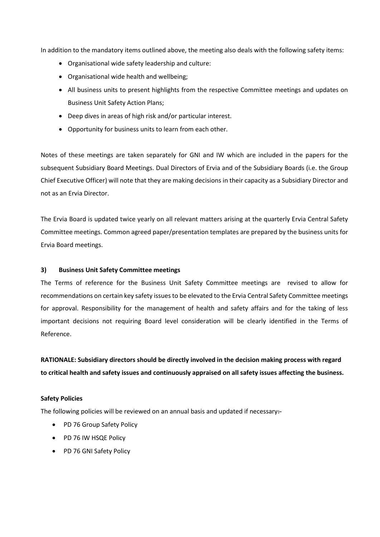In addition to the mandatory items outlined above, the meeting also deals with the following safety items:

- Organisational wide safety leadership and culture:
- Organisational wide health and wellbeing;
- All business units to present highlights from the respective Committee meetings and updates on Business Unit Safety Action Plans;
- Deep dives in areas of high risk and/or particular interest.
- Opportunity for business units to learn from each other.

Notes of these meetings are taken separately for GNI and IW which are included in the papers for the subsequent Subsidiary Board Meetings. Dual Directors of Ervia and of the Subsidiary Boards (i.e. the Group Chief Executive Officer) will note that they are making decisions in their capacity as a Subsidiary Director and not as an Ervia Director.

The Ervia Board is updated twice yearly on all relevant matters arising at the quarterly Ervia Central Safety Committee meetings. Common agreed paper/presentation templates are prepared by the business units for Ervia Board meetings.

#### **3) Business Unit Safety Committee meetings**

The Terms of reference for the Business Unit Safety Committee meetings are revised to allow for recommendations on certain key safety issues to be elevated to the Ervia Central Safety Committee meetings for approval. Responsibility for the management of health and safety affairs and for the taking of less important decisions not requiring Board level consideration will be clearly identified in the Terms of Reference.

**RATIONALE: Subsidiary directors should be directly involved in the decision making process with regard to critical health and safety issues and continuously appraised on all safety issues affecting the business.**

#### **Safety Policies**

The following policies will be reviewed on an annual basis and updated if necessary $\div$ 

- PD 76 Group Safety Policy
- PD 76 IW HSQE Policy
- PD 76 GNI Safety Policy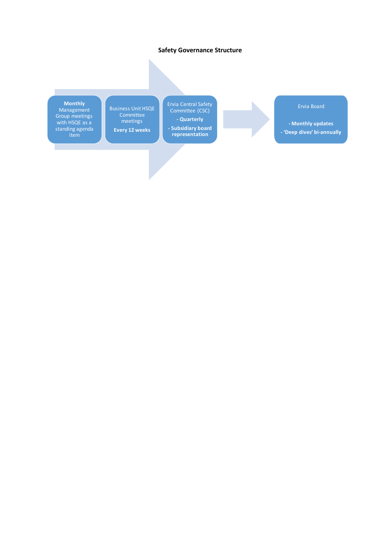#### **Safety Governance Structure**

**Monthly**

п

Management Group meetings with HSQE as a standing agenda item

Business Unit HSQE Committee meetings **Every 12 weeks**

Ervia Central Safety Committee (CSC) **- Quarterly - Subsidiary board representation**

Ervia Board

**- Monthly updates - 'Deep dives' bi-annually**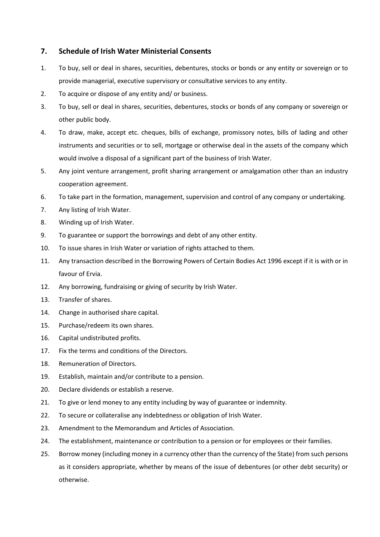# **7. Schedule of Irish Water Ministerial Consents**

- 1. To buy, sell or deal in shares, securities, debentures, stocks or bonds or any entity or sovereign or to provide managerial, executive supervisory or consultative services to any entity.
- 2. To acquire or dispose of any entity and/ or business.
- 3. To buy, sell or deal in shares, securities, debentures, stocks or bonds of any company or sovereign or other public body.
- 4. To draw, make, accept etc. cheques, bills of exchange, promissory notes, bills of lading and other instruments and securities or to sell, mortgage or otherwise deal in the assets of the company which would involve a disposal of a significant part of the business of Irish Water.
- 5. Any joint venture arrangement, profit sharing arrangement or amalgamation other than an industry cooperation agreement.
- 6. To take part in the formation, management, supervision and control of any company or undertaking.
- 7. Any listing of Irish Water.
- 8. Winding up of Irish Water.
- 9. To guarantee or support the borrowings and debt of any other entity.
- 10. To issue shares in Irish Water or variation of rights attached to them.
- 11. Any transaction described in the Borrowing Powers of Certain Bodies Act 1996 except if it is with or in favour of Ervia.
- 12. Any borrowing, fundraising or giving of security by Irish Water.
- 13. Transfer of shares.
- 14. Change in authorised share capital.
- 15. Purchase/redeem its own shares.
- 16. Capital undistributed profits.
- 17. Fix the terms and conditions of the Directors.
- 18. Remuneration of Directors.
- 19. Establish, maintain and/or contribute to a pension.
- 20. Declare dividends or establish a reserve.
- 21. To give or lend money to any entity including by way of guarantee or indemnity.
- 22. To secure or collateralise any indebtedness or obligation of Irish Water.
- 23. Amendment to the Memorandum and Articles of Association.
- 24. The establishment, maintenance or contribution to a pension or for employees or their families.
- 25. Borrow money (including money in a currency other than the currency of the State) from such persons as it considers appropriate, whether by means of the issue of debentures (or other debt security) or otherwise.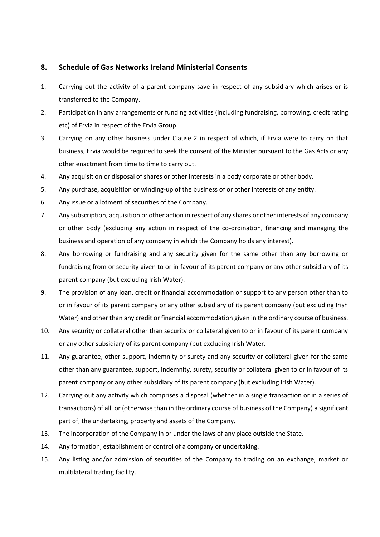## **8. Schedule of Gas Networks Ireland Ministerial Consents**

- 1. Carrying out the activity of a parent company save in respect of any subsidiary which arises or is transferred to the Company.
- 2. Participation in any arrangements or funding activities (including fundraising, borrowing, credit rating etc) of Ervia in respect of the Ervia Group.
- 3. Carrying on any other business under Clause 2 in respect of which, if Ervia were to carry on that business, Ervia would be required to seek the consent of the Minister pursuant to the Gas Acts or any other enactment from time to time to carry out.
- 4. Any acquisition or disposal of shares or other interests in a body corporate or other body.
- 5. Any purchase, acquisition or winding-up of the business of or other interests of any entity.
- 6. Any issue or allotment of securities of the Company.
- 7. Any subscription, acquisition or other action in respect of any shares or other interests of any company or other body (excluding any action in respect of the co-ordination, financing and managing the business and operation of any company in which the Company holds any interest).
- 8. Any borrowing or fundraising and any security given for the same other than any borrowing or fundraising from or security given to or in favour of its parent company or any other subsidiary of its parent company (but excluding Irish Water).
- 9. The provision of any loan, credit or financial accommodation or support to any person other than to or in favour of its parent company or any other subsidiary of its parent company (but excluding Irish Water) and other than any credit or financial accommodation given in the ordinary course of business.
- 10. Any security or collateral other than security or collateral given to or in favour of its parent company or any other subsidiary of its parent company (but excluding Irish Water.
- 11. Any guarantee, other support, indemnity or surety and any security or collateral given for the same other than any guarantee, support, indemnity, surety, security or collateral given to or in favour of its parent company or any other subsidiary of its parent company (but excluding Irish Water).
- 12. Carrying out any activity which comprises a disposal (whether in a single transaction or in a series of transactions) of all, or (otherwise than in the ordinary course of business of the Company) a significant part of, the undertaking, property and assets of the Company.
- 13. The incorporation of the Company in or under the laws of any place outside the State.
- 14. Any formation, establishment or control of a company or undertaking.
- 15. Any listing and/or admission of securities of the Company to trading on an exchange, market or multilateral trading facility.